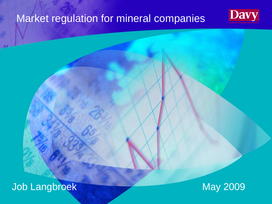#### Market regulation for mineral companies



Job Langbroek May 2009

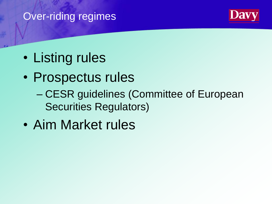# Over-riding regimes



- Listing rules
- Prospectus rules
	- CESR guidelines (Committee of European Securities Regulators)
- Aim Market rules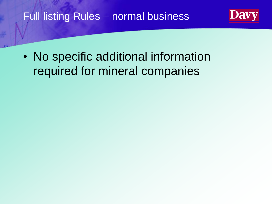## Full listing Rules – normal business

• No specific additional information required for mineral companies

28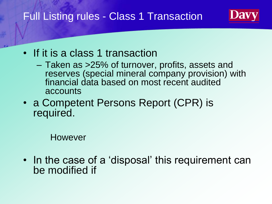## Full Listing rules - Class 1 Transaction

- If it is a class 1 transaction
	- Taken as >25% of turnover, profits, assets and reserves (special mineral company provision) with financial data based on most recent audited accounts
- a Competent Persons Report (CPR) is required.

However

• In the case of a 'disposal' this requirement can be modified if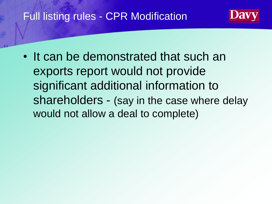## Full listing rules - CPR Modification

• It can be demonstrated that such an exports report would not provide significant additional information to shareholders - (say in the case where delay would not allow a deal to complete)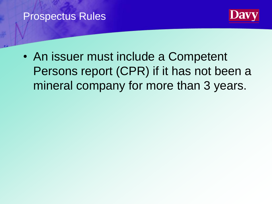#### Prospectus Rules



• An issuer must include a Competent Persons report (CPR) if it has not been a mineral company for more than 3 years.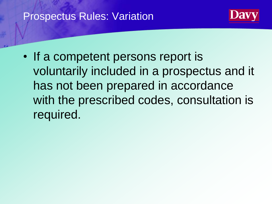### **Prospectus Rules: Variation**



• If a competent persons report is voluntarily included in a prospectus and it has not been prepared in accordance with the prescribed codes, consultation is required.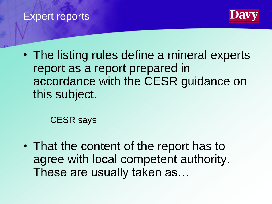#### Expert reports



• The listing rules define a mineral experts report as a report prepared in accordance with the CESR guidance on this subject.

CESR says

• That the content of the report has to agree with local competent authority. These are usually taken as…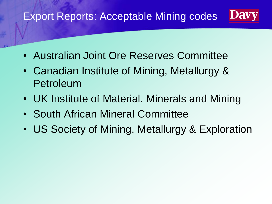#### **Davy** Export Reports: Acceptable Mining codes

- Australian Joint Ore Reserves Committee
- Canadian Institute of Mining, Metallurgy & Petroleum
- UK Institute of Material. Minerals and Mining
- South African Mineral Committee
- US Society of Mining, Metallurgy & Exploration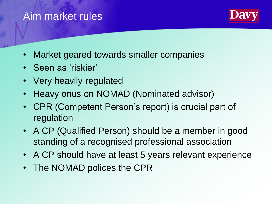#### Aim market rules



- Market geared towards smaller companies
- Seen as 'riskier'
- Very heavily regulated
- Heavy onus on NOMAD (Nominated advisor)
- CPR (Competent Person's report) is crucial part of regulation
- A CP (Qualified Person) should be a member in good standing of a recognised professional association
- A CP should have at least 5 years relevant experience
- The NOMAD polices the CPR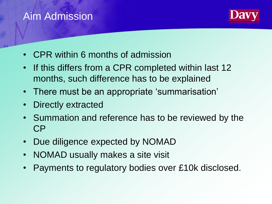## Aim Admission



- CPR within 6 months of admission
- If this differs from a CPR completed within last 12 months, such difference has to be explained
- There must be an appropriate 'summarisation'
- Directly extracted
- Summation and reference has to be reviewed by the CP
- Due diligence expected by NOMAD
- NOMAD usually makes a site visit
- Payments to regulatory bodies over £10k disclosed.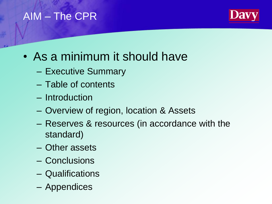## AIM – The CPR



- As a minimum it should have
	- Executive Summary
	- Table of contents
	- Introduction
	- Overview of region, location & Assets
	- Reserves & resources (in accordance with the standard)
	- Other assets
	- Conclusions
	- Qualifications
	- Appendices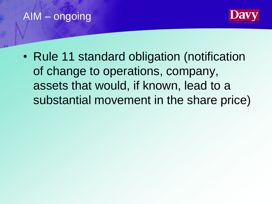## AIM – ongoing



• Rule 11 standard obligation (notification of change to operations, company, assets that would, if known, lead to a substantial movement in the share price)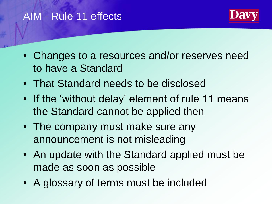## AIM - Rule 11 effects



- Changes to a resources and/or reserves need to have a Standard
- That Standard needs to be disclosed
- If the 'without delay' element of rule 11 means the Standard cannot be applied then
- The company must make sure any announcement is not misleading
- An update with the Standard applied must be made as soon as possible
- A glossary of terms must be included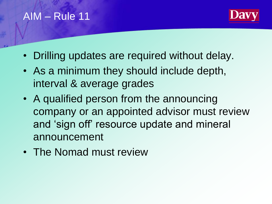## AIM – Rule 11



- Drilling updates are required without delay.
- As a minimum they should include depth, interval & average grades
- A qualified person from the announcing company or an appointed advisor must review and 'sign off' resource update and mineral announcement
- The Nomad must review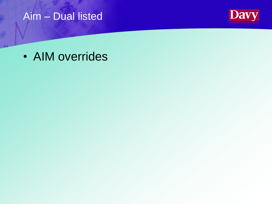#### Aim – Dual listed



• AIM overrides